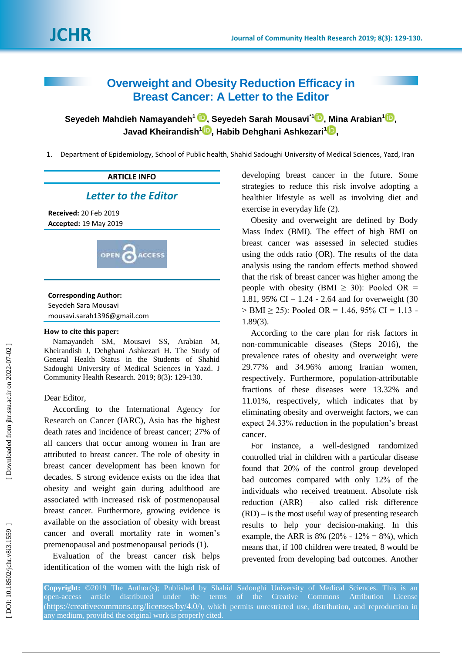# **Overweight and Obesity Reduction Efficacy in Breast Cancer: A Letter to the Editor**

**Seyedeh Mahdieh Namayandeh 1 , Seyedeh Sara h Mousavi \* [1](https://orcid.org/0000-0001-9792-1428) , Mina Arabian [1](https://orcid.org/0000-0003-1942-1975) , Javad Kheirandish 1 , Habib Dehghani Ashkezari [1](https://orcid.org/0000-0003-2648-1650) ,**

1. Department of Epidemiology, School of Public health, Shahid Sadoughi University of Medical Sciences, Yazd, Iran

# **ARTICLE INFO** *Letter to the Editor* **Received:** 20 Feb 2019 **Accepted:** 19 May 2019 **B**ACCESS **OPEN**

# **Corresponding Author:**

Seyedeh Sara Mousavi mousavi.sarah1396@gmail.com

#### **How to cite this paper:**

Namayandeh SM, Mousavi SS, Arabian M, Kheirandish J, Dehghani Ashkezari H. The Study of General Health Status in the Students of Shahid Sadoughi University of Medical Sciences in Yazd. J Community Health Research. 2019; 8( 3 ): 129 -130 .

### Dear Editor,

According to the International Agency for Research on Cancer (IARC), Asia has the highest death rates and incidence of breast cancer ; 27% of all cancers that occur among women in Iran are attributed to breast cancer. The role of obesity in breast cancer development has been known for decades. S strong evidence exists on the idea that obesity and weight gain during adulthood are associated with increased risk of postmenopausal breast cancer. Furthermore, growing evidence is available on the association of obesity with breast cancer and overall mortality rate in women's premenopausal and postmenopausal periods (1) .

Evaluati o n of the breast cancer risk helps identification of the women with the high risk of

developing breast cancer in the future. Some strategies to reduce this risk involve adopting a healthier lifestyle as well as involving diet and exercise in everyday life (2) .

Obesity and overweight are defined by Body Mass Index (BMI). The effect of high BMI on breast cancer was assessed in selected studies using the odds ratio (OR ). The results of the data analysis using the random effects method showed that the risk of breast cancer was higher among the people with obesity (BMI  $\geq$  30): Pooled OR = 1.81, 95% CI =  $1.24 - 2.64$  and for overweight (30)  $>$  BMI  $\geq$  25): Pooled OR = 1.46, 95% CI = 1.13 -1.89(3) .

According to the care plan for risk factors in non -communicable diseases (Steps 2016), the prevalence rates of obesity and overweight were 29.77% and 34.96% among Iranian women, respectively. Furthermore, population -attributable fractions of these diseases were 13.32% and 11.01% , respectively, which indicates that by eliminating obesity and overweight factor s, we can expect 24.33% reduction in the population's breast cancer.

For instance, a well -designed randomized controlled trial in children with a particular disease found that 20 % of the control group developed bad outcomes compared with only 12 % of the individuals who received treatment. Absolute risk reduction (ARR) – also called risk difference (RD) – is the most useful way of presenting research results to help your decision -making. In this example, the ARR is  $8\%$  (20% - 12% =  $8\%$ ), which means that, if 100 children were treated, 8 would be prevented from developing bad outcomes. Another

**Copyright:** ©2019 The Author(s); Published by Shahid Sadoughi University of Medical Sciences. This is an open-access (<https://creativecommons.org/licenses/by/4.0/>), which permits unrestricted use, distribution, and reproduction in any medium, provided the original work is properly cited.